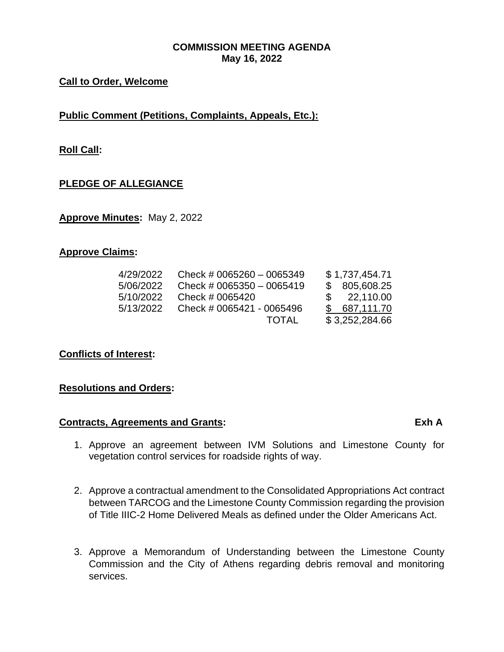## **COMMISSION MEETING AGENDA May 16, 2022**

## **Call to Order, Welcome**

**Public Comment (Petitions, Complaints, Appeals, Etc.):**

**Roll Call:**

## **PLEDGE OF ALLEGIANCE**

**Approve Minutes:** May 2, 2022

### **Approve Claims:**

| 4/29/2022 | Check # 0065260 $-$ 0065349 | \$1,737,454.71 |
|-----------|-----------------------------|----------------|
| 5/06/2022 | Check # 0065350 $-$ 0065419 | \$805,608.25   |
| 5/10/2022 | Check # 0065420             | \$22,110.00    |
| 5/13/2022 | Check # 0065421 - 0065496   | \$687,111.70   |
|           | <b>TOTAL</b>                | \$3,252,284.66 |

**Conflicts of Interest:**

#### **Resolutions and Orders:**

## **Contracts, Agreements and Grants: Exh A**

- 1. Approve an agreement between IVM Solutions and Limestone County for vegetation control services for roadside rights of way.
- 2. Approve a contractual amendment to the Consolidated Appropriations Act contract between TARCOG and the Limestone County Commission regarding the provision of Title IIIC-2 Home Delivered Meals as defined under the Older Americans Act.
- 3. Approve a Memorandum of Understanding between the Limestone County Commission and the City of Athens regarding debris removal and monitoring services.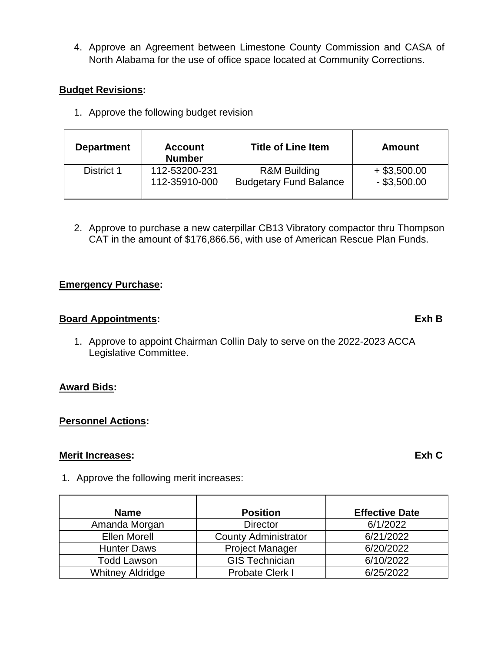4. Approve an Agreement between Limestone County Commission and CASA of North Alabama for the use of office space located at Community Corrections.

## **Budget Revisions:**

1. Approve the following budget revision

| <b>Department</b> | <b>Account</b><br><b>Number</b> | <b>Title of Line Item</b>     | Amount         |
|-------------------|---------------------------------|-------------------------------|----------------|
| District 1        | 112-53200-231                   | <b>R&amp;M Building</b>       | $+$ \$3,500.00 |
|                   | 112-35910-000                   | <b>Budgetary Fund Balance</b> | $-$ \$3,500.00 |

2. Approve to purchase a new caterpillar CB13 Vibratory compactor thru Thompson CAT in the amount of \$176,866.56, with use of American Rescue Plan Funds.

## **Emergency Purchase:**

## **Board Appointments: Exh B**

1. Approve to appoint Chairman Collin Daly to serve on the 2022-2023 ACCA Legislative Committee.

## **Award Bids:**

## **Personnel Actions:**

## **Merit Increases: Exh C**

1. Approve the following merit increases:

| <b>Name</b>             | <b>Position</b>             | <b>Effective Date</b> |  |
|-------------------------|-----------------------------|-----------------------|--|
| Amanda Morgan           | <b>Director</b>             | 6/1/2022              |  |
| <b>Ellen Morell</b>     | <b>County Administrator</b> | 6/21/2022             |  |
| <b>Hunter Daws</b>      | <b>Project Manager</b>      | 6/20/2022             |  |
| <b>Todd Lawson</b>      | <b>GIS Technician</b>       | 6/10/2022             |  |
| <b>Whitney Aldridge</b> | <b>Probate Clerk I</b>      | 6/25/2022             |  |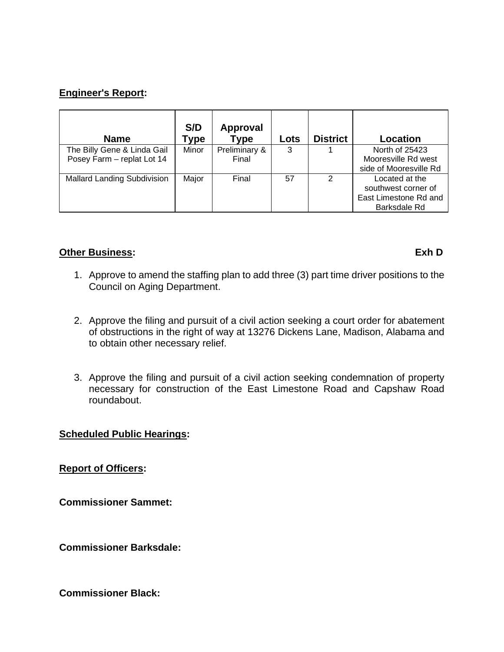## **Engineer's Report:**

| <b>Name</b>                        | S/D<br>Type | Approval<br><b>Type</b> | Lots | <b>District</b> | <b>Location</b>        |
|------------------------------------|-------------|-------------------------|------|-----------------|------------------------|
| The Billy Gene & Linda Gail        | Minor       | Preliminary &           | 3    |                 | North of 25423         |
| Posey Farm - replat Lot 14         |             | Final                   |      |                 | Mooresville Rd west    |
|                                    |             |                         |      |                 | side of Mooresville Rd |
| <b>Mallard Landing Subdivision</b> | Major       | Final                   | 57   | 2               | Located at the         |
|                                    |             |                         |      |                 | southwest corner of    |
|                                    |             |                         |      |                 | East Limestone Rd and  |
|                                    |             |                         |      |                 | Barksdale Rd           |

### **Other Business:** Exh D

- 1. Approve to amend the staffing plan to add three (3) part time driver positions to the Council on Aging Department.
- 2. Approve the filing and pursuit of a civil action seeking a court order for abatement of obstructions in the right of way at 13276 Dickens Lane, Madison, Alabama and to obtain other necessary relief.
- 3. Approve the filing and pursuit of a civil action seeking condemnation of property necessary for construction of the East Limestone Road and Capshaw Road roundabout.

## **Scheduled Public Hearings:**

**Report of Officers:**

**Commissioner Sammet:**

**Commissioner Barksdale:**

**Commissioner Black:**